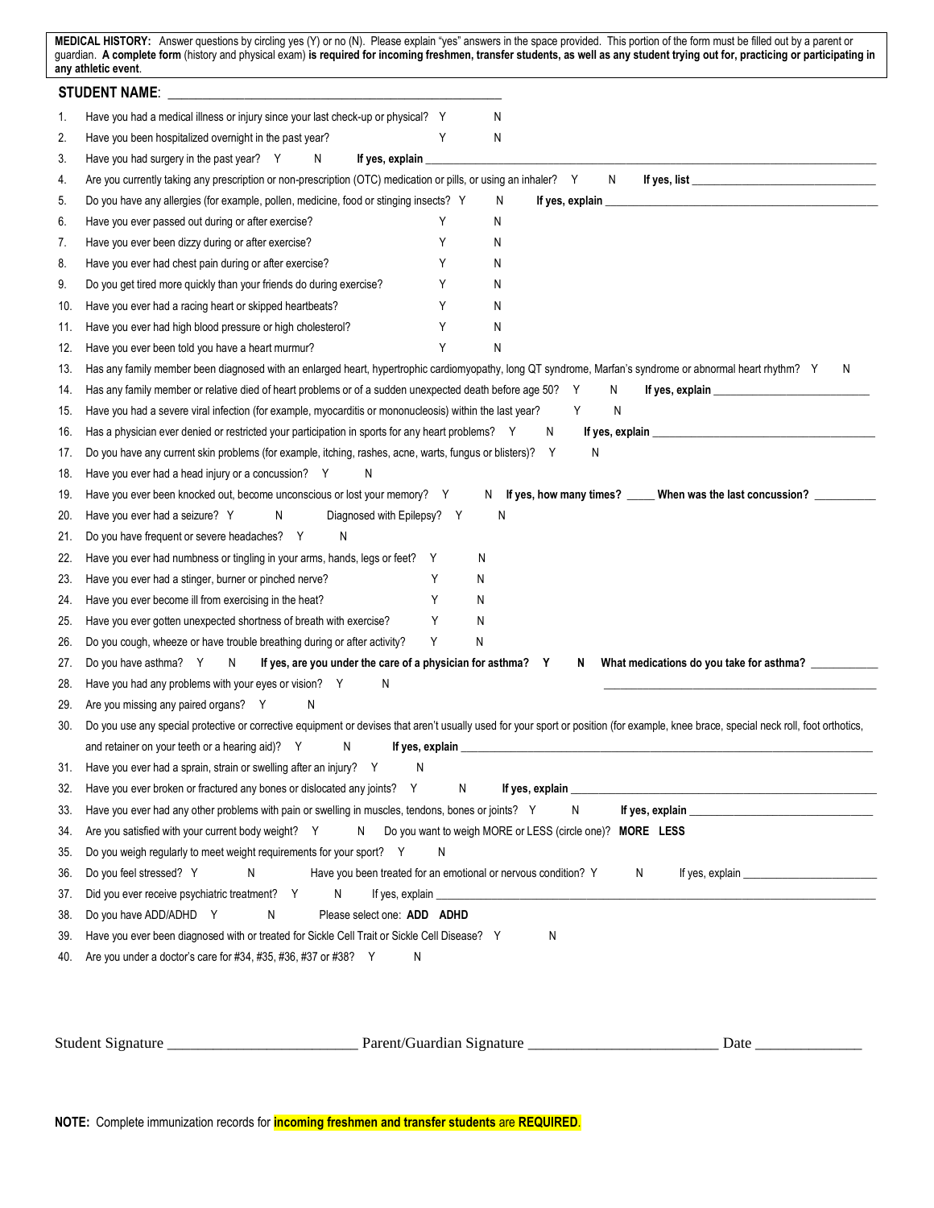|     | MEDICAL HISTORY: Answer questions by circling yes (Y) or no (N). Please explain "yes" answers in the space provided. This portion of the form must be filled out by a parent or<br>guardian. A complete form (history and physical exam) is required for incoming freshmen, transfer students, as well as any student trying out for, practicing or participating in<br>any athletic event. |
|-----|---------------------------------------------------------------------------------------------------------------------------------------------------------------------------------------------------------------------------------------------------------------------------------------------------------------------------------------------------------------------------------------------|
|     |                                                                                                                                                                                                                                                                                                                                                                                             |
| 1.  | Have you had a medical illness or injury since your last check-up or physical? Y<br>N                                                                                                                                                                                                                                                                                                       |
| 2.  | Have you been hospitalized overnight in the past year?<br>Y<br>N                                                                                                                                                                                                                                                                                                                            |
| 3.  | If yes, explain<br>Have you had surgery in the past year? Y N                                                                                                                                                                                                                                                                                                                               |
| 4.  | Are you currently taking any prescription or non-prescription (OTC) medication or pills, or using an inhaler? Y<br>N and the set of the set of the set of the set of the set of the set of the set of the set of the set of the set of the set of the set of the set of the set of the set of the set of the set of the set of the set of the set                                           |
| 5.  | Do you have any allergies (for example, pollen, medicine, food or stinging insects? Y<br>N                                                                                                                                                                                                                                                                                                  |
| 6.  | Y<br>Have you ever passed out during or after exercise?<br>N                                                                                                                                                                                                                                                                                                                                |
| 7.  | Have you ever been dizzy during or after exercise?<br>Y<br>Ν                                                                                                                                                                                                                                                                                                                                |
| 8.  | Y<br>Have you ever had chest pain during or after exercise?<br>N                                                                                                                                                                                                                                                                                                                            |
| 9.  | Do you get tired more quickly than your friends do during exercise?<br>Y<br>N                                                                                                                                                                                                                                                                                                               |
| 10. | Have you ever had a racing heart or skipped heartbeats?<br>Y<br>N                                                                                                                                                                                                                                                                                                                           |
| 11. | Y<br>Have you ever had high blood pressure or high cholesterol?<br>N                                                                                                                                                                                                                                                                                                                        |
| 12. | Y<br>Have you ever been told you have a heart murmur?<br>N                                                                                                                                                                                                                                                                                                                                  |
| 13. | Has any family member been diagnosed with an enlarged heart, hypertrophic cardiomyopathy, long QT syndrome, Marfan's syndrome or abnormal heart rhythm? Y<br>N                                                                                                                                                                                                                              |
| 14. | Has any family member or relative died of heart problems or of a sudden unexpected death before age 50?<br>Y<br>N                                                                                                                                                                                                                                                                           |
| 15. | Have you had a severe viral infection (for example, myocarditis or mononucleosis) within the last year?<br>N<br>Y                                                                                                                                                                                                                                                                           |
| 16. | Has a physician ever denied or restricted your participation in sports for any heart problems? Y<br>N                                                                                                                                                                                                                                                                                       |
| 17. | N<br>Do you have any current skin problems (for example, itching, rashes, acne, warts, fungus or blisters)? Y                                                                                                                                                                                                                                                                               |
| 18. | Have you ever had a head injury or a concussion? Y<br>N                                                                                                                                                                                                                                                                                                                                     |
| 19. | Have you ever been knocked out, become unconscious or lost your memory? Y<br>N If yes, how many times? _____ When was the last concussion? _________                                                                                                                                                                                                                                        |
| 20. | N<br>Have you ever had a seizure? Y<br>Diagnosed with Epilepsy? Y<br>N                                                                                                                                                                                                                                                                                                                      |
| 21. | Do you have frequent or severe headaches? Y<br>N                                                                                                                                                                                                                                                                                                                                            |
| 22. | Have you ever had numbness or tingling in your arms, hands, legs or feet? Y<br>N                                                                                                                                                                                                                                                                                                            |
| 23. | Υ<br>Have you ever had a stinger, burner or pinched nerve?<br>N                                                                                                                                                                                                                                                                                                                             |
| 24. | Y<br>Have you ever become ill from exercising in the heat?<br>N                                                                                                                                                                                                                                                                                                                             |
| 25. | Have you ever gotten unexpected shortness of breath with exercise?<br>Y<br>N                                                                                                                                                                                                                                                                                                                |
| 26. | Y<br>Do you cough, wheeze or have trouble breathing during or after activity?<br>N                                                                                                                                                                                                                                                                                                          |
| 27. | If yes, are you under the care of a physician for asthma? Y<br>Do you have asthma? Y N<br>What medications do you take for asthma? ___________<br>N                                                                                                                                                                                                                                         |
| 28. | Have you had any problems with your eyes or vision? Y<br>N                                                                                                                                                                                                                                                                                                                                  |
| 29. | Are you missing any paired organs? Y<br>N                                                                                                                                                                                                                                                                                                                                                   |
| 30. | Do you use any special protective or corrective equipment or devises that aren't usually used for your sport or position (for example, knee brace, special neck roll, foot orthotics,                                                                                                                                                                                                       |
|     | and retainer on your teeth or a hearing aid)? Y<br>N                                                                                                                                                                                                                                                                                                                                        |
| 31. | Have you ever had a sprain, strain or swelling after an injury? Y<br>N                                                                                                                                                                                                                                                                                                                      |
| 32. | Have you ever broken or fractured any bones or dislocated any joints? Y<br>N                                                                                                                                                                                                                                                                                                                |
| 33. | Have you ever had any other problems with pain or swelling in muscles, tendons, bones or joints? Y<br>N                                                                                                                                                                                                                                                                                     |
| 34. | Do you want to weigh MORE or LESS (circle one)? MORE LESS<br>Are you satisfied with your current body weight? Y<br>N                                                                                                                                                                                                                                                                        |
| 35. | Do you weigh regularly to meet weight requirements for your sport? Y<br>N                                                                                                                                                                                                                                                                                                                   |
| 36. | Have you been treated for an emotional or nervous condition? Y<br>Do you feel stressed? Y<br>$N \sim 1$<br>N                                                                                                                                                                                                                                                                                |
| 37. | Did you ever receive psychiatric treatment? Y<br>N                                                                                                                                                                                                                                                                                                                                          |
| 38. | Do you have ADD/ADHD Y<br>$N \sim$<br>Please select one: ADD ADHD                                                                                                                                                                                                                                                                                                                           |
| 39. | Have you ever been diagnosed with or treated for Sickle Cell Trait or Sickle Cell Disease? Y<br>N                                                                                                                                                                                                                                                                                           |
| 40. | Are you under a doctor's care for #34, #35, #36, #37 or #38? Y<br>N                                                                                                                                                                                                                                                                                                                         |
|     |                                                                                                                                                                                                                                                                                                                                                                                             |
|     |                                                                                                                                                                                                                                                                                                                                                                                             |

|  | $\sim$<br>.<br>nai<br>Stude<br>' 11 | .<br>11 O F<br>.107<br>наг<br>$\sim$<br>ша<br>на |  | - Jafé |
|--|-------------------------------------|--------------------------------------------------|--|--------|
|--|-------------------------------------|--------------------------------------------------|--|--------|